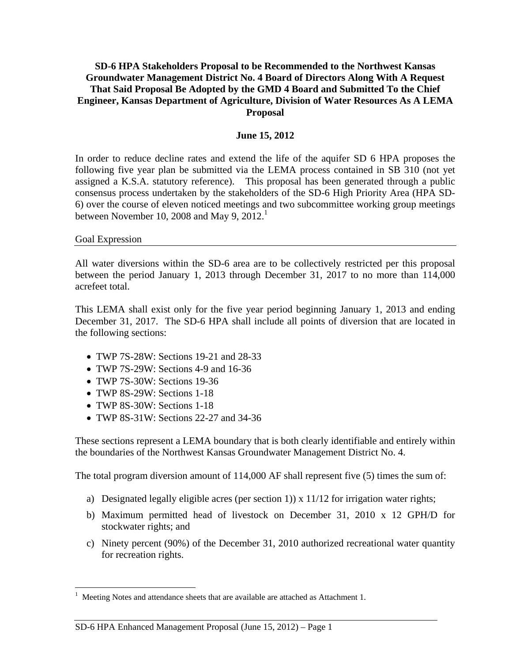#### **SD-6 HPA Stakeholders Proposal to be Recommended to the Northwest Kansas Groundwater Management District No. 4 Board of Directors Along With A Request That Said Proposal Be Adopted by the GMD 4 Board and Submitted To the Chief Engineer, Kansas Department of Agriculture, Division of Water Resources As A LEMA Proposal**

#### **June 15, 2012**

In order to reduce decline rates and extend the life of the aquifer SD 6 HPA proposes the following five year plan be submitted via the LEMA process contained in SB 310 (not yet assigned a K.S.A. statutory reference). This proposal has been generated through a public consensus process undertaken by the stakeholders of the SD-6 High Priority Area (HPA SD-6) over the course of eleven noticed meetings and two subcommittee working group meetings between November 10, 2008 and May 9,  $2012<sup>1</sup>$ 

#### Goal Expression

 $\overline{a}$ 

All water diversions within the SD-6 area are to be collectively restricted per this proposal between the period January 1, 2013 through December 31, 2017 to no more than 114,000 acrefeet total.

This LEMA shall exist only for the five year period beginning January 1, 2013 and ending December 31, 2017. The SD-6 HPA shall include all points of diversion that are located in the following sections:

- TWP 7S-28W: Sections 19-21 and 28-33
- TWP 7S-29W: Sections 4-9 and 16-36
- TWP 7S-30W: Sections 19-36
- TWP 8S-29W: Sections 1-18
- TWP 8S-30W: Sections 1-18
- TWP 8S-31W: Sections 22-27 and 34-36

These sections represent a LEMA boundary that is both clearly identifiable and entirely within the boundaries of the Northwest Kansas Groundwater Management District No. 4.

The total program diversion amount of 114,000 AF shall represent five (5) times the sum of:

- a) Designated legally eligible acres (per section 1)  $\times$  11/12 for irrigation water rights;
- b) Maximum permitted head of livestock on December 31, 2010 x 12 GPH/D for stockwater rights; and
- c) Ninety percent (90%) of the December 31, 2010 authorized recreational water quantity for recreation rights.

<sup>1</sup> Meeting Notes and attendance sheets that are available are attached as Attachment 1.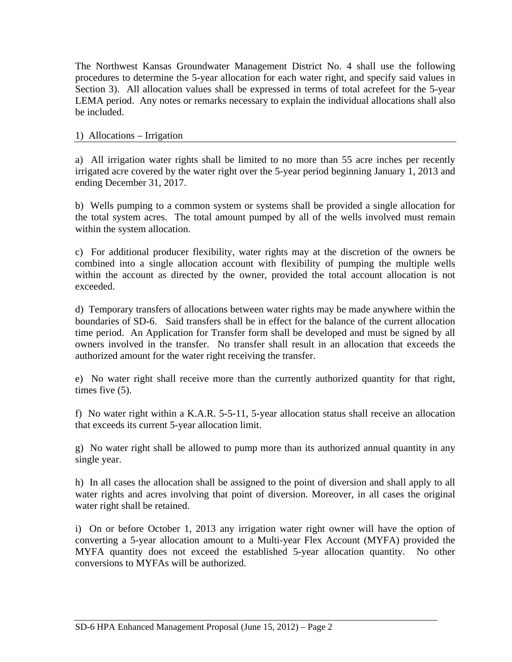The Northwest Kansas Groundwater Management District No. 4 shall use the following procedures to determine the 5-year allocation for each water right, and specify said values in Section 3). All allocation values shall be expressed in terms of total acrefeet for the 5-year LEMA period. Any notes or remarks necessary to explain the individual allocations shall also be included.

#### 1) Allocations – Irrigation

a) All irrigation water rights shall be limited to no more than 55 acre inches per recently irrigated acre covered by the water right over the 5-year period beginning January 1, 2013 and ending December 31, 2017.

b) Wells pumping to a common system or systems shall be provided a single allocation for the total system acres. The total amount pumped by all of the wells involved must remain within the system allocation.

c) For additional producer flexibility, water rights may at the discretion of the owners be combined into a single allocation account with flexibility of pumping the multiple wells within the account as directed by the owner, provided the total account allocation is not exceeded.

d) Temporary transfers of allocations between water rights may be made anywhere within the boundaries of SD-6. Said transfers shall be in effect for the balance of the current allocation time period. An Application for Transfer form shall be developed and must be signed by all owners involved in the transfer. No transfer shall result in an allocation that exceeds the authorized amount for the water right receiving the transfer.

e) No water right shall receive more than the currently authorized quantity for that right, times five (5).

f) No water right within a K.A.R. 5-5-11, 5-year allocation status shall receive an allocation that exceeds its current 5-year allocation limit.

g) No water right shall be allowed to pump more than its authorized annual quantity in any single year.

h) In all cases the allocation shall be assigned to the point of diversion and shall apply to all water rights and acres involving that point of diversion. Moreover, in all cases the original water right shall be retained.

i) On or before October 1, 2013 any irrigation water right owner will have the option of converting a 5-year allocation amount to a Multi-year Flex Account (MYFA) provided the MYFA quantity does not exceed the established 5-year allocation quantity. No other conversions to MYFAs will be authorized.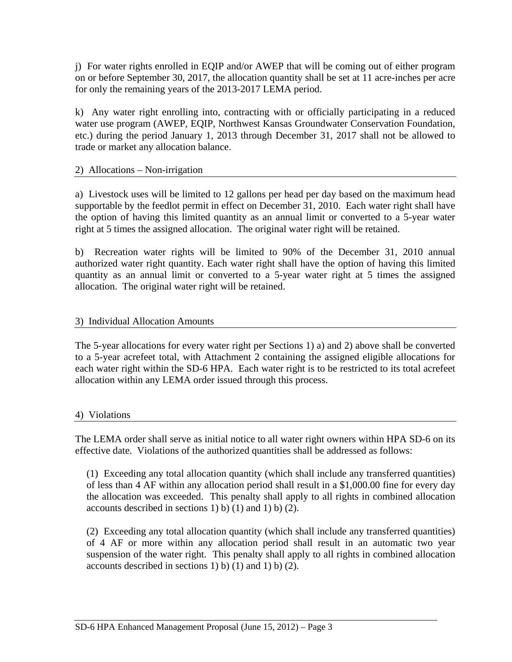j) For water rights enrolled in EQIP and/or AWEP that will be coming out of either program on or before September 30, 2017, the allocation quantity shall be set at 11 acre-inches per acre for only the remaining years of the 2013-2017 LEMA period.

k) Any water right enrolling into, contracting with or officially participating in a reduced water use program (AWEP, EQIP, Northwest Kansas Groundwater Conservation Foundation, etc.) during the period January 1, 2013 through December 31, 2017 shall not be allowed to trade or market any allocation balance.

### 2) Allocations – Non-irrigation

a) Livestock uses will be limited to 12 gallons per head per day based on the maximum head supportable by the feedlot permit in effect on December 31, 2010. Each water right shall have the option of having this limited quantity as an annual limit or converted to a 5-year water right at 5 times the assigned allocation. The original water right will be retained.

b) Recreation water rights will be limited to 90% of the December 31, 2010 annual authorized water right quantity. Each water right shall have the option of having this limited quantity as an annual limit or converted to a 5-year water right at 5 times the assigned allocation. The original water right will be retained.

### 3) Individual Allocation Amounts

The 5-year allocations for every water right per Sections 1) a) and 2) above shall be converted to a 5-year acrefeet total, with Attachment 2 containing the assigned eligible allocations for each water right within the SD-6 HPA. Each water right is to be restricted to its total acrefeet allocation within any LEMA order issued through this process.

### 4) Violations

The LEMA order shall serve as initial notice to all water right owners within HPA SD-6 on its effective date. Violations of the authorized quantities shall be addressed as follows:

(1) Exceeding any total allocation quantity (which shall include any transferred quantities) of less than 4 AF within any allocation period shall result in a \$1,000.00 fine for every day the allocation was exceeded. This penalty shall apply to all rights in combined allocation accounts described in sections 1) b) (1) and 1) b) (2).

(2) Exceeding any total allocation quantity (which shall include any transferred quantities) of 4 AF or more within any allocation period shall result in an automatic two year suspension of the water right. This penalty shall apply to all rights in combined allocation accounts described in sections 1) b) (1) and 1) b) (2).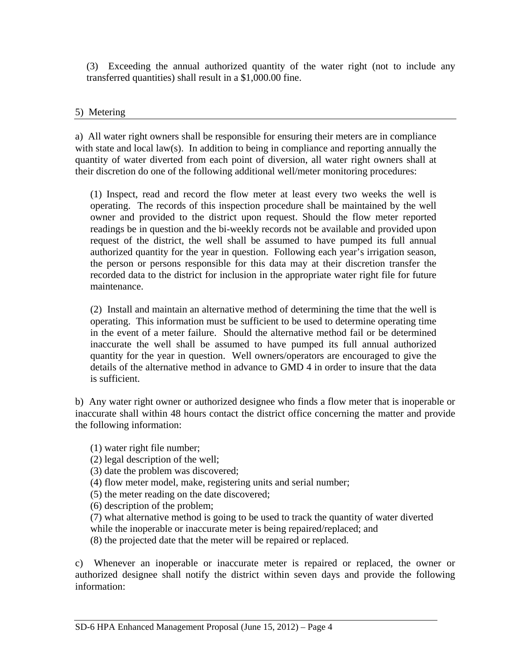(3) Exceeding the annual authorized quantity of the water right (not to include any transferred quantities) shall result in a \$1,000.00 fine.

#### 5) Metering

a) All water right owners shall be responsible for ensuring their meters are in compliance with state and local law(s). In addition to being in compliance and reporting annually the quantity of water diverted from each point of diversion, all water right owners shall at their discretion do one of the following additional well/meter monitoring procedures:

(1) Inspect, read and record the flow meter at least every two weeks the well is operating. The records of this inspection procedure shall be maintained by the well owner and provided to the district upon request. Should the flow meter reported readings be in question and the bi-weekly records not be available and provided upon request of the district, the well shall be assumed to have pumped its full annual authorized quantity for the year in question. Following each year's irrigation season, the person or persons responsible for this data may at their discretion transfer the recorded data to the district for inclusion in the appropriate water right file for future maintenance.

(2) Install and maintain an alternative method of determining the time that the well is operating. This information must be sufficient to be used to determine operating time in the event of a meter failure. Should the alternative method fail or be determined inaccurate the well shall be assumed to have pumped its full annual authorized quantity for the year in question. Well owners/operators are encouraged to give the details of the alternative method in advance to GMD 4 in order to insure that the data is sufficient.

b) Any water right owner or authorized designee who finds a flow meter that is inoperable or inaccurate shall within 48 hours contact the district office concerning the matter and provide the following information:

(1) water right file number;

(2) legal description of the well;

(3) date the problem was discovered;

(4) flow meter model, make, registering units and serial number;

(5) the meter reading on the date discovered;

(6) description of the problem;

(7) what alternative method is going to be used to track the quantity of water diverted while the inoperable or inaccurate meter is being repaired/replaced; and

(8) the projected date that the meter will be repaired or replaced.

c) Whenever an inoperable or inaccurate meter is repaired or replaced, the owner or authorized designee shall notify the district within seven days and provide the following information: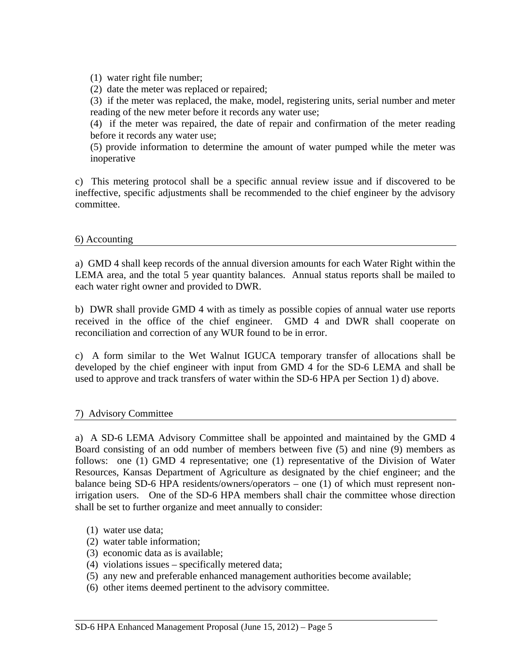(1) water right file number;

(2) date the meter was replaced or repaired;

(3) if the meter was replaced, the make, model, registering units, serial number and meter reading of the new meter before it records any water use;

(4) if the meter was repaired, the date of repair and confirmation of the meter reading before it records any water use;

(5) provide information to determine the amount of water pumped while the meter was inoperative

c) This metering protocol shall be a specific annual review issue and if discovered to be ineffective, specific adjustments shall be recommended to the chief engineer by the advisory committee.

#### 6) Accounting

a) GMD 4 shall keep records of the annual diversion amounts for each Water Right within the LEMA area, and the total 5 year quantity balances. Annual status reports shall be mailed to each water right owner and provided to DWR.

b) DWR shall provide GMD 4 with as timely as possible copies of annual water use reports received in the office of the chief engineer. GMD 4 and DWR shall cooperate on reconciliation and correction of any WUR found to be in error.

c) A form similar to the Wet Walnut IGUCA temporary transfer of allocations shall be developed by the chief engineer with input from GMD 4 for the SD-6 LEMA and shall be used to approve and track transfers of water within the SD-6 HPA per Section 1) d) above.

### 7) Advisory Committee

a) A SD-6 LEMA Advisory Committee shall be appointed and maintained by the GMD 4 Board consisting of an odd number of members between five (5) and nine (9) members as follows: one (1) GMD 4 representative; one (1) representative of the Division of Water Resources, Kansas Department of Agriculture as designated by the chief engineer; and the balance being SD-6 HPA residents/owners/operators – one (1) of which must represent nonirrigation users. One of the SD-6 HPA members shall chair the committee whose direction shall be set to further organize and meet annually to consider:

- (1) water use data;
- (2) water table information;
- (3) economic data as is available;
- (4) violations issues specifically metered data;
- (5) any new and preferable enhanced management authorities become available;
- (6) other items deemed pertinent to the advisory committee.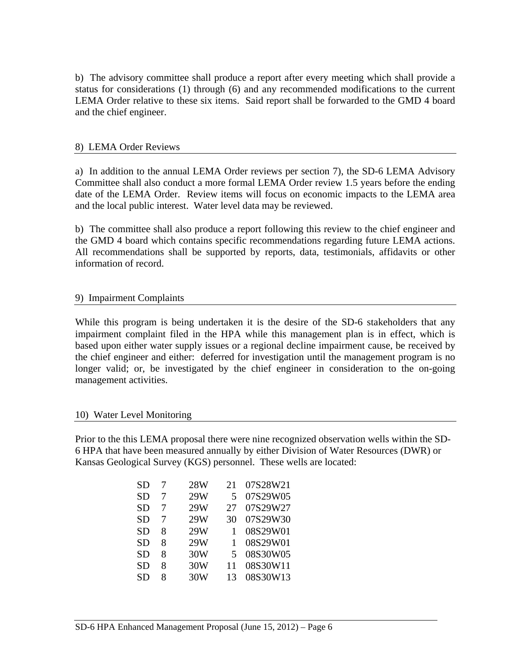b) The advisory committee shall produce a report after every meeting which shall provide a status for considerations (1) through (6) and any recommended modifications to the current LEMA Order relative to these six items. Said report shall be forwarded to the GMD 4 board and the chief engineer.

#### 8) LEMA Order Reviews

a) In addition to the annual LEMA Order reviews per section 7), the SD-6 LEMA Advisory Committee shall also conduct a more formal LEMA Order review 1.5 years before the ending date of the LEMA Order. Review items will focus on economic impacts to the LEMA area and the local public interest. Water level data may be reviewed.

b) The committee shall also produce a report following this review to the chief engineer and the GMD 4 board which contains specific recommendations regarding future LEMA actions. All recommendations shall be supported by reports, data, testimonials, affidavits or other information of record.

#### 9) Impairment Complaints

While this program is being undertaken it is the desire of the SD-6 stakeholders that any impairment complaint filed in the HPA while this management plan is in effect, which is based upon either water supply issues or a regional decline impairment cause, be received by the chief engineer and either: deferred for investigation until the management program is no longer valid; or, be investigated by the chief engineer in consideration to the on-going management activities.

#### 10) Water Level Monitoring

Prior to the this LEMA proposal there were nine recognized observation wells within the SD-6 HPA that have been measured annually by either Division of Water Resources (DWR) or Kansas Geological Survey (KGS) personnel. These wells are located:

| SD | 7 | 28W | 21 | 07S28W21 |
|----|---|-----|----|----------|
| SD | 7 | 29W | 5  | 07S29W05 |
| SD | 7 | 29W | 27 | 07S29W27 |
| SD | 7 | 29W | 30 | 07S29W30 |
| SD | 8 | 29W | 1  | 08S29W01 |
| SD | 8 | 29W | 1  | 08S29W01 |
| SD | 8 | 30W | 5  | 08S30W05 |
| SD | 8 | 30W | 11 | 08S30W11 |
| SD | 8 | 30W | 13 | 08S30W13 |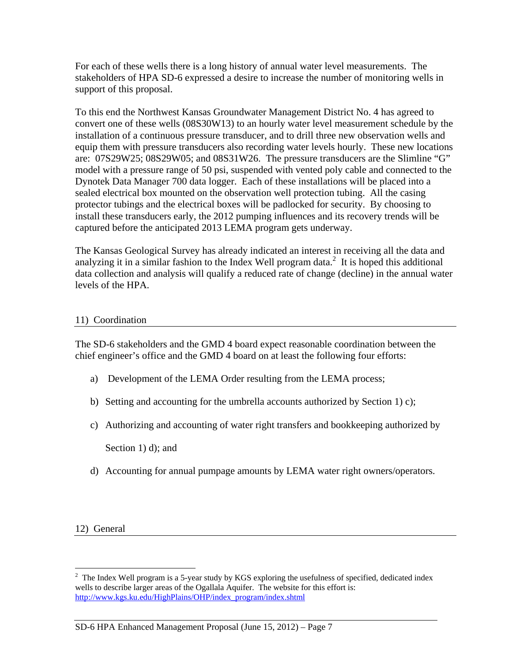For each of these wells there is a long history of annual water level measurements. The stakeholders of HPA SD-6 expressed a desire to increase the number of monitoring wells in support of this proposal.

To this end the Northwest Kansas Groundwater Management District No. 4 has agreed to convert one of these wells (08S30W13) to an hourly water level measurement schedule by the installation of a continuous pressure transducer, and to drill three new observation wells and equip them with pressure transducers also recording water levels hourly. These new locations are: 07S29W25; 08S29W05; and 08S31W26. The pressure transducers are the Slimline "G" model with a pressure range of 50 psi, suspended with vented poly cable and connected to the Dynotek Data Manager 700 data logger. Each of these installations will be placed into a sealed electrical box mounted on the observation well protection tubing. All the casing protector tubings and the electrical boxes will be padlocked for security. By choosing to install these transducers early, the 2012 pumping influences and its recovery trends will be captured before the anticipated 2013 LEMA program gets underway.

The Kansas Geological Survey has already indicated an interest in receiving all the data and analyzing it in a similar fashion to the Index Well program data.<sup>2</sup> It is hoped this additional data collection and analysis will qualify a reduced rate of change (decline) in the annual water levels of the HPA.

### 11) Coordination

The SD-6 stakeholders and the GMD 4 board expect reasonable coordination between the chief engineer's office and the GMD 4 board on at least the following four efforts:

- a) Development of the LEMA Order resulting from the LEMA process;
- b) Setting and accounting for the umbrella accounts authorized by Section 1) c);
- c) Authorizing and accounting of water right transfers and bookkeeping authorized by

Section 1) d); and

d) Accounting for annual pumpage amounts by LEMA water right owners/operators.

12) General

 $\overline{a}$  $2$  The Index Well program is a 5-year study by KGS exploring the usefulness of specified, dedicated index wells to describe larger areas of the Ogallala Aquifer. The website for this effort is: http://www.kgs.ku.edu/HighPlains/OHP/index\_program/index.shtml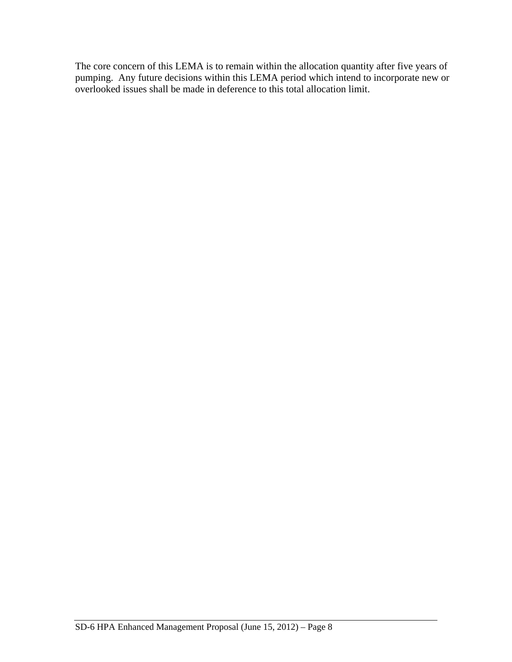The core concern of this LEMA is to remain within the allocation quantity after five years of pumping. Any future decisions within this LEMA period which intend to incorporate new or overlooked issues shall be made in deference to this total allocation limit.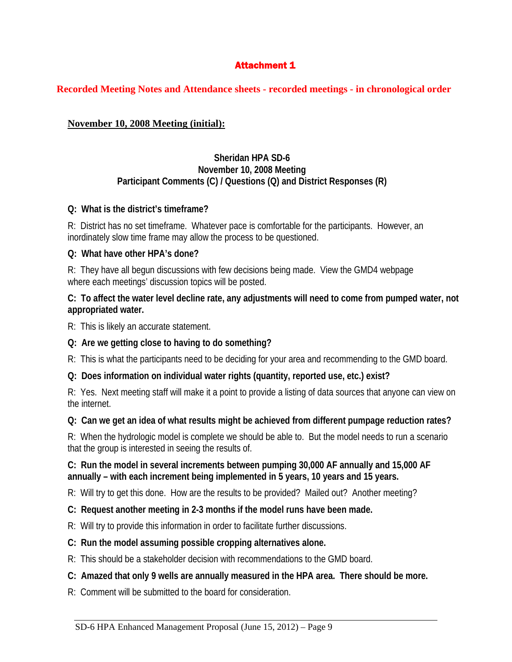# **Attachment 1**

### **Recorded Meeting Notes and Attendance sheets - recorded meetings - in chronological order**

## **November 10, 2008 Meeting (initial):**

#### **Sheridan HPA SD-6 November 10, 2008 Meeting Participant Comments (C) / Questions (Q) and District Responses (R)**

### **Q: What is the district's timeframe?**

R: District has no set timeframe. Whatever pace is comfortable for the participants. However, an inordinately slow time frame may allow the process to be questioned.

### **Q: What have other HPA's done?**

R: They have all begun discussions with few decisions being made. View the GMD4 webpage where each meetings' discussion topics will be posted.

### **C: To affect the water level decline rate, any adjustments will need to come from pumped water, not appropriated water.**

R: This is likely an accurate statement.

### **Q: Are we getting close to having to do something?**

R: This is what the participants need to be deciding for your area and recommending to the GMD board.

# **Q: Does information on individual water rights (quantity, reported use, etc.) exist?**

R: Yes. Next meeting staff will make it a point to provide a listing of data sources that anyone can view on the internet.

### **Q: Can we get an idea of what results might be achieved from different pumpage reduction rates?**

R: When the hydrologic model is complete we should be able to. But the model needs to run a scenario that the group is interested in seeing the results of.

### **C: Run the model in several increments between pumping 30,000 AF annually and 15,000 AF annually – with each increment being implemented in 5 years, 10 years and 15 years.**

R: Will try to get this done. How are the results to be provided? Mailed out? Another meeting?

### **C: Request another meeting in 2-3 months if the model runs have been made.**

R: Will try to provide this information in order to facilitate further discussions.

### **C: Run the model assuming possible cropping alternatives alone.**

R: This should be a stakeholder decision with recommendations to the GMD board.

# **C: Amazed that only 9 wells are annually measured in the HPA area. There should be more.**

R: Comment will be submitted to the board for consideration.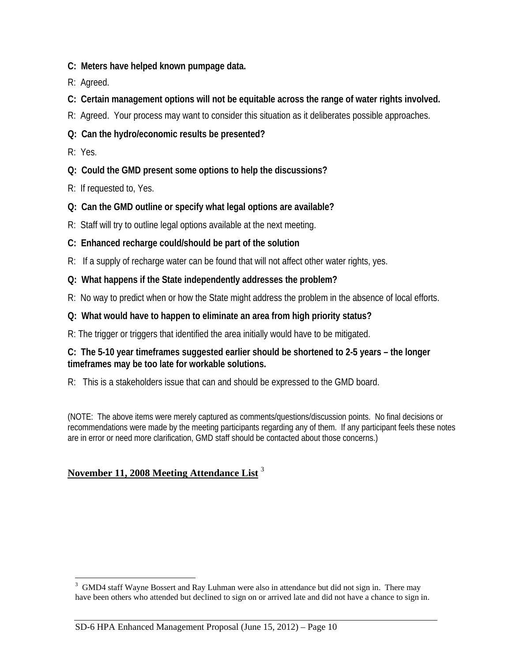- **C: Meters have helped known pumpage data.**
- R: Agreed.
- **C: Certain management options will not be equitable across the range of water rights involved.**
- R: Agreed. Your process may want to consider this situation as it deliberates possible approaches.
- **Q: Can the hydro/economic results be presented?**
- R: Yes.

 $\overline{a}$ 

- **Q: Could the GMD present some options to help the discussions?**
- R: If requested to, Yes.
- **Q: Can the GMD outline or specify what legal options are available?**
- R: Staff will try to outline legal options available at the next meeting.
- **C: Enhanced recharge could/should be part of the solution**
- R: If a supply of recharge water can be found that will not affect other water rights, yes.
- **Q: What happens if the State independently addresses the problem?**
- R: No way to predict when or how the State might address the problem in the absence of local efforts.
- **Q: What would have to happen to eliminate an area from high priority status?**
- R: The trigger or triggers that identified the area initially would have to be mitigated.

### **C: The 5-10 year timeframes suggested earlier should be shortened to 2-5 years – the longer timeframes may be too late for workable solutions.**

R: This is a stakeholders issue that can and should be expressed to the GMD board.

(NOTE: The above items were merely captured as comments/questions/discussion points. No final decisions or recommendations were made by the meeting participants regarding any of them. If any participant feels these notes are in error or need more clarification, GMD staff should be contacted about those concerns.)

# **November 11, 2008 Meeting Attendance List** <sup>3</sup>

<sup>&</sup>lt;sup>3</sup> GMD4 staff Wayne Bossert and Ray Luhman were also in attendance but did not sign in. There may have been others who attended but declined to sign on or arrived late and did not have a chance to sign in.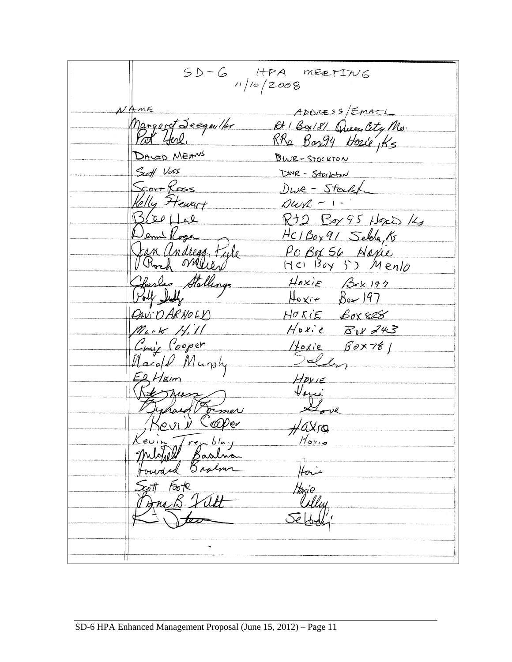$SD-C$  HPA MEETING ADDRESS/EMAIL AmE ADDRESS/EMAIL<br>Margaret Seegm/for Rt 1 Box/8/ Queen City Mo.<br>Port York. RRa Box94 House Ks DAVID MEANS BWR-STOCKTON Seeff Voss DWR - Strikton <u>ScorrRoss</u> DWR - Stockt Velly Ftewart  $\n *Qu*<sub>K</sub> - 1 -$ Breeffel Rt2 Box 95 Hoxis 14 Jemi Roge<br>Jan Andregg Fyle HC1Box91 Selda, 15 PO Box 56 Napie<br>HCI Boy 53 Mento Harles Stallings  $Hexie$   $Bexipr$  $Hoxie$   $Box197$ HORIE BOX828 DAVIO ARNOLD  $M_{4}$  -  $K$  Hill Hoxie Bax 243 Craig Cooper<br>Marold Murphy Hoxie Box781  $Hovie$ Vous Jechard France mer  $H$ OXTO evin Trenblay<br>Mohell Baalna Hari Horie it Fook<br>Fra B. Filt  $\ddot{\phantom{a}}$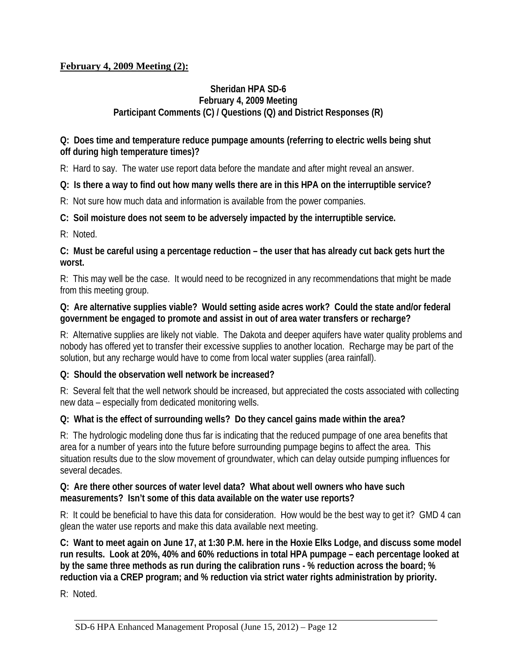# **February 4, 2009 Meeting (2):**

### **Sheridan HPA SD-6 February 4, 2009 Meeting Participant Comments (C) / Questions (Q) and District Responses (R)**

## **Q: Does time and temperature reduce pumpage amounts (referring to electric wells being shut off during high temperature times)?**

R: Hard to say. The water use report data before the mandate and after might reveal an answer.

# **Q: Is there a way to find out how many wells there are in this HPA on the interruptible service?**

R: Not sure how much data and information is available from the power companies.

# **C: Soil moisture does not seem to be adversely impacted by the interruptible service.**

R: Noted.

### **C: Must be careful using a percentage reduction – the user that has already cut back gets hurt the worst.**

R: This may well be the case. It would need to be recognized in any recommendations that might be made from this meeting group.

# **Q: Are alternative supplies viable? Would setting aside acres work? Could the state and/or federal government be engaged to promote and assist in out of area water transfers or recharge?**

R: Alternative supplies are likely not viable. The Dakota and deeper aquifers have water quality problems and nobody has offered yet to transfer their excessive supplies to another location. Recharge may be part of the solution, but any recharge would have to come from local water supplies (area rainfall).

# **Q: Should the observation well network be increased?**

R: Several felt that the well network should be increased, but appreciated the costs associated with collecting new data – especially from dedicated monitoring wells.

# **Q: What is the effect of surrounding wells? Do they cancel gains made within the area?**

R: The hydrologic modeling done thus far is indicating that the reduced pumpage of one area benefits that area for a number of years into the future before surrounding pumpage begins to affect the area. This situation results due to the slow movement of groundwater, which can delay outside pumping influences for several decades.

### **Q: Are there other sources of water level data? What about well owners who have such measurements? Isn't some of this data available on the water use reports?**

R: It could be beneficial to have this data for consideration. How would be the best way to get it? GMD 4 can glean the water use reports and make this data available next meeting.

**C: Want to meet again on June 17, at 1:30 P.M. here in the Hoxie Elks Lodge, and discuss some model run results. Look at 20%, 40% and 60% reductions in total HPA pumpage – each percentage looked at by the same three methods as run during the calibration runs - % reduction across the board; % reduction via a CREP program; and % reduction via strict water rights administration by priority.** 

R: Noted.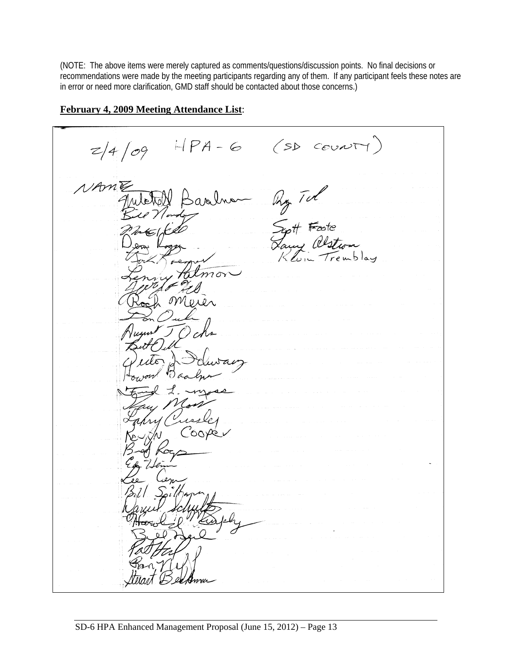(NOTE: The above items were merely captured as comments/questions/discussion points. No final decisions or recommendations were made by the meeting participants regarding any of them. If any participant feels these notes are in error or need more clarification, GMD staff should be contacted about those concerns.)

 $HPA-G(SDCovNT)$  $z/4/09$ Ry Tul<br>Syst Faste<br>Lawy alstrom<br>Kluin Trembla NAME Sandr  $m$  ön

#### **February 4, 2009 Meeting Attendance List**: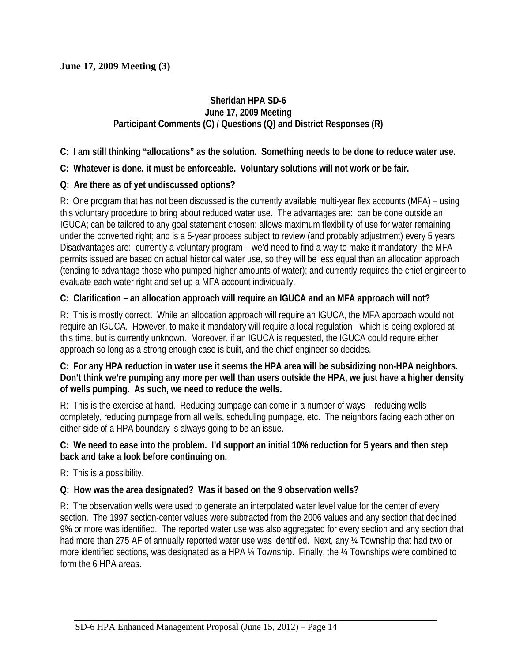### **June 17, 2009 Meeting (3)**

### **Sheridan HPA SD-6 June 17, 2009 Meeting Participant Comments (C) / Questions (Q) and District Responses (R)**

**C: I am still thinking "allocations" as the solution. Something needs to be done to reduce water use.** 

**C: Whatever is done, it must be enforceable. Voluntary solutions will not work or be fair.** 

### **Q: Are there as of yet undiscussed options?**

R: One program that has not been discussed is the currently available multi-year flex accounts (MFA) – using this voluntary procedure to bring about reduced water use. The advantages are: can be done outside an IGUCA; can be tailored to any goal statement chosen; allows maximum flexibility of use for water remaining under the converted right; and is a 5-year process subject to review (and probably adjustment) every 5 years. Disadvantages are: currently a voluntary program – we'd need to find a way to make it mandatory; the MFA permits issued are based on actual historical water use, so they will be less equal than an allocation approach (tending to advantage those who pumped higher amounts of water); and currently requires the chief engineer to evaluate each water right and set up a MFA account individually.

### **C: Clarification – an allocation approach will require an IGUCA and an MFA approach will not?**

R: This is mostly correct. While an allocation approach will require an IGUCA, the MFA approach would not require an IGUCA. However, to make it mandatory will require a local regulation - which is being explored at this time, but is currently unknown. Moreover, if an IGUCA is requested, the IGUCA could require either approach so long as a strong enough case is built, and the chief engineer so decides.

### **C: For any HPA reduction in water use it seems the HPA area will be subsidizing non-HPA neighbors. Don't think we're pumping any more per well than users outside the HPA, we just have a higher density of wells pumping. As such, we need to reduce the wells.**

R: This is the exercise at hand. Reducing pumpage can come in a number of ways – reducing wells completely, reducing pumpage from all wells, scheduling pumpage, etc. The neighbors facing each other on either side of a HPA boundary is always going to be an issue.

### **C: We need to ease into the problem. I'd support an initial 10% reduction for 5 years and then step back and take a look before continuing on.**

R: This is a possibility.

### **Q: How was the area designated? Was it based on the 9 observation wells?**

R: The observation wells were used to generate an interpolated water level value for the center of every section. The 1997 section-center values were subtracted from the 2006 values and any section that declined 9% or more was identified. The reported water use was also aggregated for every section and any section that had more than 275 AF of annually reported water use was identified. Next, any ¼ Township that had two or more identified sections, was designated as a HPA ¼ Township. Finally, the ¼ Townships were combined to form the 6 HPA areas.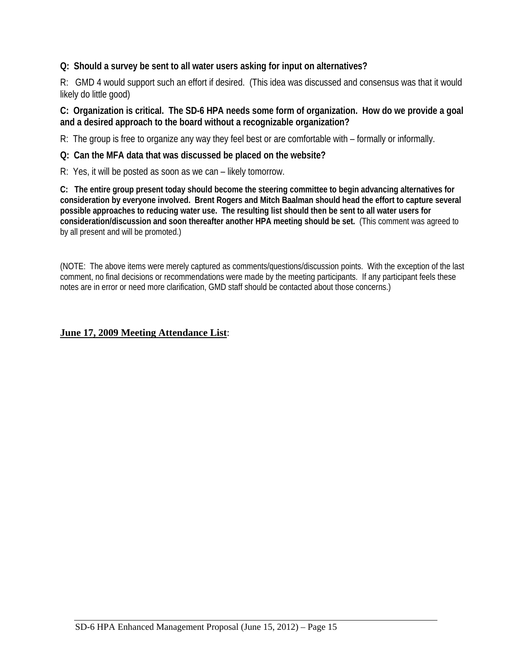## **Q: Should a survey be sent to all water users asking for input on alternatives?**

R: GMD 4 would support such an effort if desired. (This idea was discussed and consensus was that it would likely do little good)

### **C: Organization is critical. The SD-6 HPA needs some form of organization. How do we provide a goal and a desired approach to the board without a recognizable organization?**

R: The group is free to organize any way they feel best or are comfortable with – formally or informally.

### **Q: Can the MFA data that was discussed be placed on the website?**

R: Yes, it will be posted as soon as we can – likely tomorrow.

**C: The entire group present today should become the steering committee to begin advancing alternatives for consideration by everyone involved. Brent Rogers and Mitch Baalman should head the effort to capture several possible approaches to reducing water use. The resulting list should then be sent to all water users for consideration/discussion and soon thereafter another HPA meeting should be set.** (This comment was agreed to by all present and will be promoted.)

(NOTE: The above items were merely captured as comments/questions/discussion points. With the exception of the last comment, no final decisions or recommendations were made by the meeting participants. If any participant feels these notes are in error or need more clarification, GMD staff should be contacted about those concerns.)

### **June 17, 2009 Meeting Attendance List**: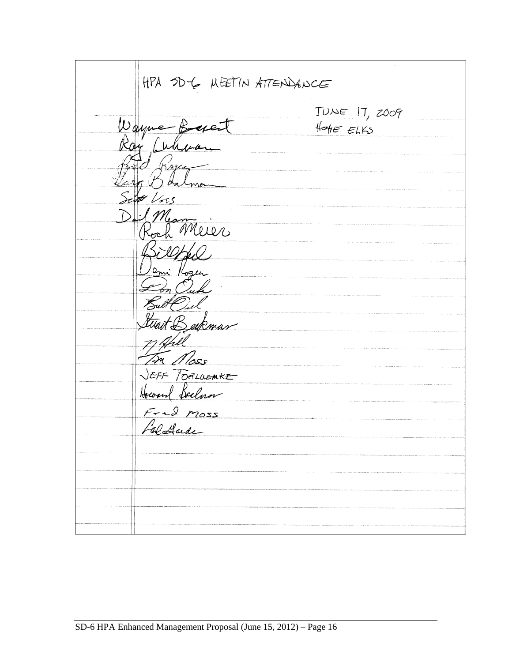| HPA SDY MEETIN ATTENDANCE                         |                                               |  |  |
|---------------------------------------------------|-----------------------------------------------|--|--|
| Wayne Boxet                                       | $TUNE$ $17, z009$<br>$H_{\text{OHE}}$ $E(KS)$ |  |  |
| Ray Culifran<br>$K$ ague<br>Jaro Balma            |                                               |  |  |
| Sept Voss<br>Dail Mean<br>Roch Merer              |                                               |  |  |
| Billfal<br>Jemi Kozen                             |                                               |  |  |
| $\mathcal{L}_m$ O.L.<br>Butt Pul<br>twart Berkman |                                               |  |  |
| 7) Apill<br>In Moss<br>JEFF TORLUEMKE             |                                               |  |  |
| Howard Soclaror<br>$F - 2$ moss                   |                                               |  |  |
| Faldade                                           |                                               |  |  |
|                                                   |                                               |  |  |
|                                                   |                                               |  |  |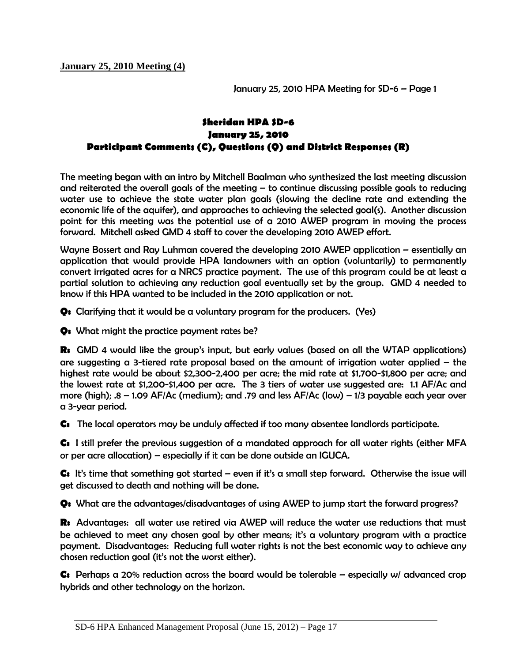**January 25, 2010 Meeting (4)** 

January 25, 2010 HPA Meeting for SD-6 – Page 1

## **Sheridan HPA SD-6 January 25, 2010 Participant Comments (C), Questions (Q) and District Responses (R)**

The meeting began with an intro by Mitchell Baalman who synthesized the last meeting discussion and reiterated the overall goals of the meeting – to continue discussing possible goals to reducing water use to achieve the state water plan goals (slowing the decline rate and extending the economic life of the aquifer), and approaches to achieving the selected goal(s). Another discussion point for this meeting was the potential use of a 2010 AWEP program in moving the process forward. Mitchell asked GMD 4 staff to cover the developing 2010 AWEP effort.

Wayne Bossert and Ray Luhman covered the developing 2010 AWEP application – essentially an application that would provide HPA landowners with an option (voluntarily) to permanently convert irrigated acres for a NRCS practice payment. The use of this program could be at least a partial solution to achieving any reduction goal eventually set by the group. GMD 4 needed to know if this HPA wanted to be included in the 2010 application or not.

**Q:** Clarifying that it would be a voluntary program for the producers. (Yes)

**Q:** What might the practice payment rates be?

**R:** GMD 4 would like the group's input, but early values (based on all the WTAP applications) are suggesting a 3-tiered rate proposal based on the amount of irrigation water applied  $-$  the highest rate would be about \$2,300-2,400 per acre; the mid rate at \$1,700-\$1,800 per acre; and the lowest rate at \$1,200-\$1,400 per acre. The 3 tiers of water use suggested are: 1.1 AF/Ac and more (high); .8 – 1.09 AF/Ac (medium); and .79 and less AF/Ac (low) – 1/3 payable each year over a 3-year period.

**C:** The local operators may be unduly affected if too many absentee landlords participate.

**C:** I still prefer the previous suggestion of a mandated approach for all water rights (either MFA or per acre allocation) – especially if it can be done outside an IGUCA.

**C:** It's time that something got started – even if it's a small step forward. Otherwise the issue will get discussed to death and nothing will be done.

**Q:** What are the advantages/disadvantages of using AWEP to jump start the forward progress?

**R:** Advantages: all water use retired via AWEP will reduce the water use reductions that must be achieved to meet any chosen goal by other means; it's a voluntary program with a practice payment. Disadvantages: Reducing full water rights is not the best economic way to achieve any chosen reduction goal (it's not the worst either).

**C:** Perhaps a 20% reduction across the board would be tolerable – especially w/ advanced crop hybrids and other technology on the horizon.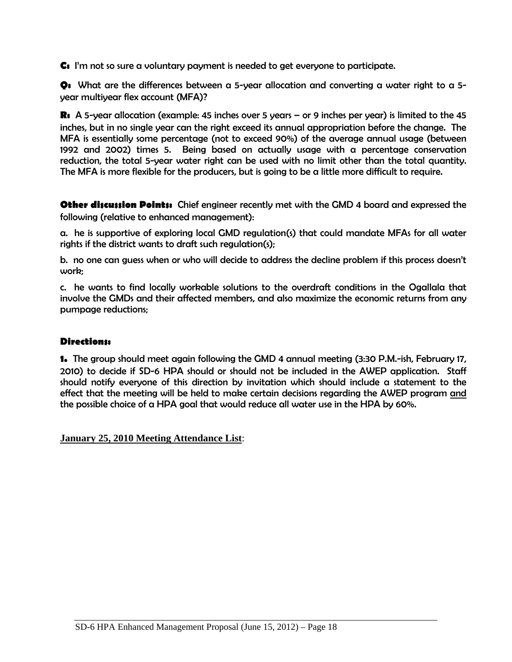**C:** I'm not so sure a voluntary payment is needed to get everyone to participate.

**Q:** What are the differences between a 5-year allocation and converting a water right to a 5 year multiyear flex account (MFA)?

**R:** A 5-year allocation (example: 45 inches over 5 years – or 9 inches per year) is limited to the 45 inches, but in no single year can the right exceed its annual appropriation before the change. The MFA is essentially some percentage (not to exceed 90%) of the average annual usage (between 1992 and 2002) times 5. Being based on actually usage with a percentage conservation reduction, the total 5-year water right can be used with no limit other than the total quantity. The MFA is more flexible for the producers, but is going to be a little more difficult to require.

**Other discussion Points:** Chief engineer recently met with the GMD 4 board and expressed the following (relative to enhanced management):

a. he is supportive of exploring local GMD regulation(s) that could mandate MFAs for all water rights if the district wants to draft such regulation(s);

b. no one can guess when or who will decide to address the decline problem if this process doesn't work;

c. he wants to find locally workable solutions to the overdraft conditions in the Ogallala that involve the GMDs and their affected members, and also maximize the economic returns from any pumpage reductions;

### **Directions:**

**1.** The group should meet again following the GMD 4 annual meeting (3:30 P.M.-ish, February 17, 2010) to decide if SD-6 HPA should or should not be included in the AWEP application. Staff should notify everyone of this direction by invitation which should include a statement to the effect that the meeting will be held to make certain decisions regarding the AWEP program and the possible choice of a HPA goal that would reduce all water use in the HPA by 60%.

**January 25, 2010 Meeting Attendance List**: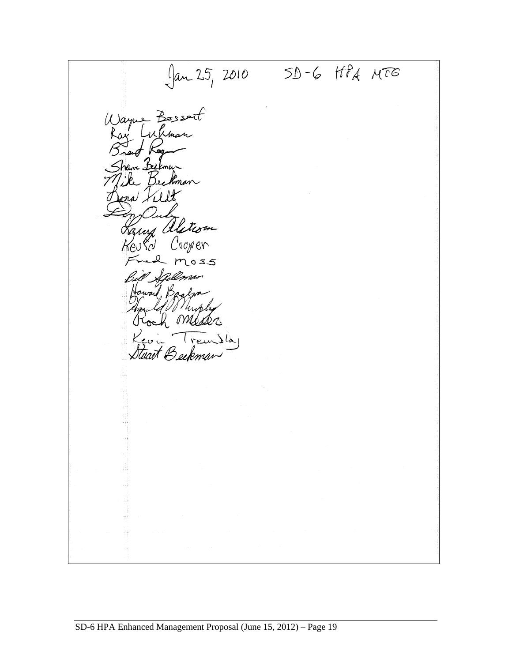$\int \tan 25$ , 2010 SD-6 HPA MTG Wayne Bossert Whma  $\frac{1}{k}$ ve Bè a Kil any aletism Cooper eu KN  $mass$ Howard, Ba Howld Musler Treu الهرا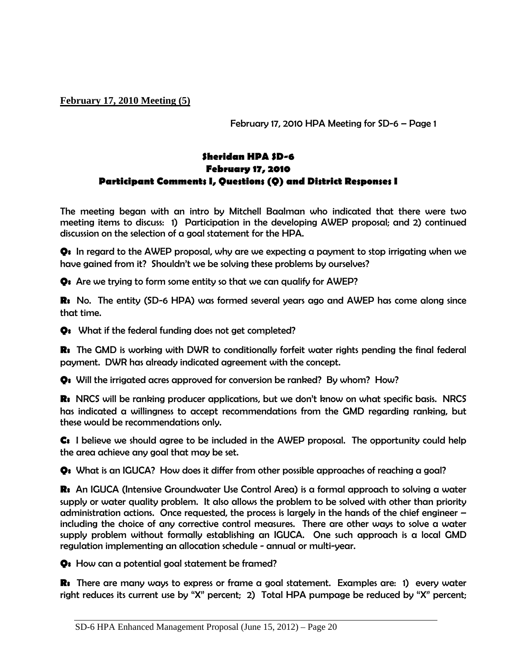**February 17, 2010 Meeting (5)** 

February 17, 2010 HPA Meeting for SD-6 – Page 1

# **Sheridan HPA SD-6 February 17, 2010 Participant Comments I, Questions (Q) and District Responses I**

The meeting began with an intro by Mitchell Baalman who indicated that there were two meeting items to discuss: 1) Participation in the developing AWEP proposal; and 2) continued discussion on the selection of a goal statement for the HPA.

**Q:** In regard to the AWEP proposal, why are we expecting a payment to stop irrigating when we have gained from it? Shouldn't we be solving these problems by ourselves?

**Q:** Are we trying to form some entity so that we can qualify for AWEP?

**R:** No. The entity (SD-6 HPA) was formed several years ago and AWEP has come along since that time.

**Q:** What if the federal funding does not get completed?

**R:** The GMD is working with DWR to conditionally forfeit water rights pending the final federal payment. DWR has already indicated agreement with the concept.

**Q:** Will the irrigated acres approved for conversion be ranked? By whom? How?

**R:** NRCS will be ranking producer applications, but we don't know on what specific basis. NRCS has indicated a willingness to accept recommendations from the GMD regarding ranking, but these would be recommendations only.

**C:** I believe we should agree to be included in the AWEP proposal. The opportunity could help the area achieve any goal that may be set.

**Q:** What is an IGUCA? How does it differ from other possible approaches of reaching a goal?

**R:** An IGUCA (Intensive Groundwater Use Control Area) is a formal approach to solving a water supply or water quality problem. It also allows the problem to be solved with other than priority administration actions. Once requested, the process is largely in the hands of the chief engineer – including the choice of any corrective control measures. There are other ways to solve a water supply problem without formally establishing an IGUCA. One such approach is a local GMD regulation implementing an allocation schedule - annual or multi-year.

**Q:** How can a potential goal statement be framed?

**R:** There are many ways to express or frame a goal statement. Examples are: 1) every water right reduces its current use by "X" percent; 2) Total HPA pumpage be reduced by "X" percent;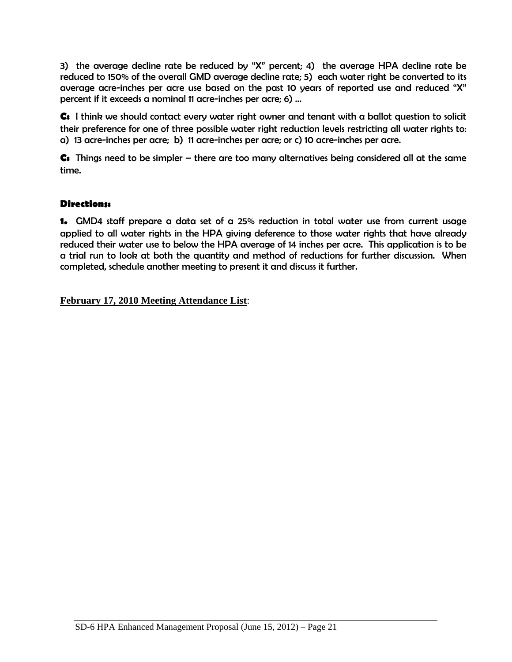3) the average decline rate be reduced by "X" percent; 4) the average HPA decline rate be reduced to 150% of the overall GMD average decline rate; 5) each water right be converted to its average acre-inches per acre use based on the past 10 years of reported use and reduced "X" percent if it exceeds a nominal 11 acre-inches per acre; 6) …

**C:** I think we should contact every water right owner and tenant with a ballot question to solicit their preference for one of three possible water right reduction levels restricting all water rights to: a) 13 acre-inches per acre; b) 11 acre-inches per acre; or c) 10 acre-inches per acre.

**C:** Things need to be simpler – there are too many alternatives being considered all at the same time.

# **Directions:**

**1.** GMD4 staff prepare a data set of a 25% reduction in total water use from current usage applied to all water rights in the HPA giving deference to those water rights that have already reduced their water use to below the HPA average of 14 inches per acre. This application is to be a trial run to look at both the quantity and method of reductions for further discussion. When completed, schedule another meeting to present it and discuss it further.

**February 17, 2010 Meeting Attendance List**: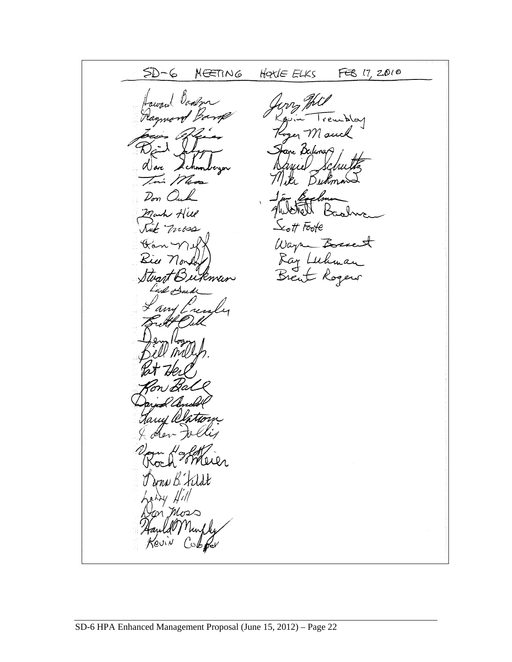$5D-6$ FEB 17, 2010 MEETING HOULE ELKS  $\log$ Mouch Ďи  $\mathcal{D}_{\boldsymbol{\sigma}\boldsymbol{\eta}}$  $\mathcal{L}_{\mathcal{O}}$ tt Foote Vvi Wayne Bosser<br>Ray Luhman<br>Brent Rogers  $\mathscr{C}_{\scriptscriptstyle{0}}$ Zukman Slvañ ny c rna B. Fildt 71  $\mathcal{C}$ ob $\mathcal{C}$ er Revin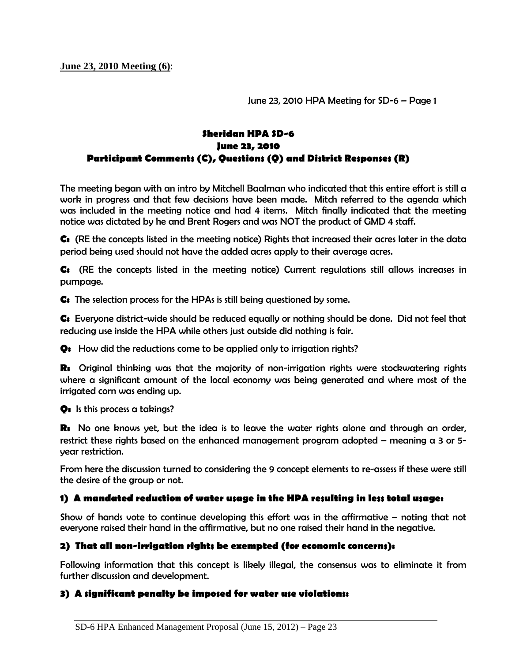**June 23, 2010 Meeting (6)**:

June 23, 2010 HPA Meeting for SD-6 – Page 1

# **Sheridan HPA SD-6 June 23, 2010 Participant Comments (C), Questions (Q) and District Responses (R)**

The meeting began with an intro by Mitchell Baalman who indicated that this entire effort is still a work in progress and that few decisions have been made. Mitch referred to the agenda which was included in the meeting notice and had 4 items. Mitch finally indicated that the meeting notice was dictated by he and Brent Rogers and was NOT the product of GMD 4 staff.

**C:** (RE the concepts listed in the meeting notice) Rights that increased their acres later in the data period being used should not have the added acres apply to their average acres.

**C:** (RE the concepts listed in the meeting notice) Current regulations still allows increases in pumpage.

**C:** The selection process for the HPAs is still being questioned by some.

**C:** Everyone district-wide should be reduced equally or nothing should be done. Did not feel that reducing use inside the HPA while others just outside did nothing is fair.

**Q:** How did the reductions come to be applied only to irrigation rights?

**R:** Original thinking was that the majority of non-irrigation rights were stockwatering rights where a significant amount of the local economy was being generated and where most of the irrigated corn was ending up.

**Q:** Is this process a takings?

**R:** No one knows yet, but the idea is to leave the water rights alone and through an order, restrict these rights based on the enhanced management program adopted – meaning a 3 or 5 year restriction.

From here the discussion turned to considering the 9 concept elements to re-assess if these were still the desire of the group or not.

#### **1) A mandated reduction of water usage in the HPA resulting in less total usage:**

Show of hands vote to continue developing this effort was in the affirmative – noting that not everyone raised their hand in the affirmative, but no one raised their hand in the negative.

#### **2) That all non-irrigation rights be exempted (for economic concerns):**

Following information that this concept is likely illegal, the consensus was to eliminate it from further discussion and development.

#### **3) A significant penalty be imposed for water use violations:**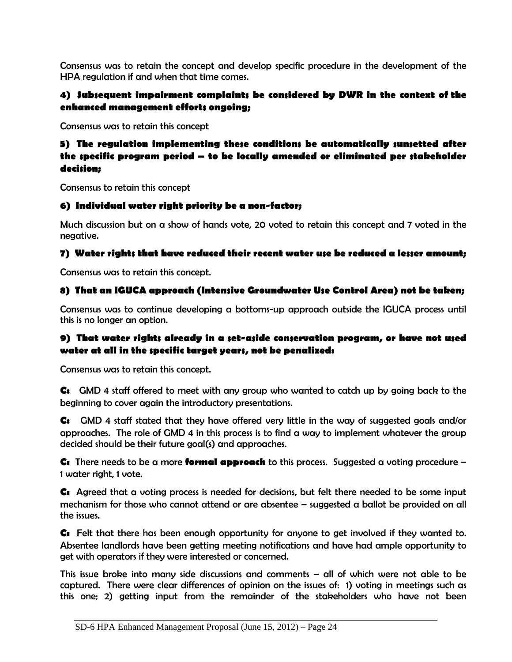Consensus was to retain the concept and develop specific procedure in the development of the HPA regulation if and when that time comes.

## **4) Subsequent impairment complaints be considered by DWR in the context of the enhanced management efforts ongoing;**

Consensus was to retain this concept

### **5) The regulation implementing these conditions be automatically sunsetted after the specific program period – to be locally amended or eliminated per stakeholder decision;**

Consensus to retain this concept

### **6) Individual water right priority be a non-factor;**

Much discussion but on a show of hands vote, 20 voted to retain this concept and 7 voted in the negative.

### **7) Water rights that have reduced their recent water use be reduced a lesser amount;**

Consensus was to retain this concept.

# **8) That an IGUCA approach (Intensive Groundwater Use Control Area) not be taken;**

Consensus was to continue developing a bottoms-up approach outside the IGUCA process until this is no longer an option.

### **9) That water rights already in a set-aside conservation program, or have not used water at all in the specific target years, not be penalized:**

Consensus was to retain this concept.

**C:** GMD 4 staff offered to meet with any group who wanted to catch up by going back to the beginning to cover again the introductory presentations.

**C:** GMD 4 staff stated that they have offered very little in the way of suggested goals and/or approaches. The role of GMD 4 in this process is to find a way to implement whatever the group decided should be their future goal(s) and approaches.

**C:** There needs to be a more **formal approach** to this process. Suggested a voting procedure – 1 water right, 1 vote.

**C:** Agreed that a voting process is needed for decisions, but felt there needed to be some input mechanism for those who cannot attend or are absentee – suggested a ballot be provided on all the issues.

**C:** Felt that there has been enough opportunity for anyone to get involved if they wanted to. Absentee landlords have been getting meeting notifications and have had ample opportunity to get with operators if they were interested or concerned.

This issue broke into many side discussions and comments – all of which were not able to be captured. There were clear differences of opinion on the issues of: 1) voting in meetings such as this one; 2) getting input from the remainder of the stakeholders who have not been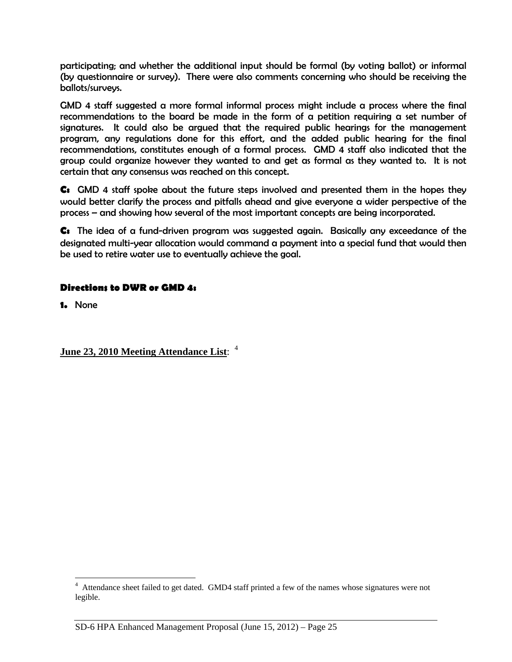participating; and whether the additional input should be formal (by voting ballot) or informal (by questionnaire or survey). There were also comments concerning who should be receiving the ballots/surveys.

GMD 4 staff suggested a more formal informal process might include a process where the final recommendations to the board be made in the form of a petition requiring a set number of signatures. It could also be argued that the required public hearings for the management program, any regulations done for this effort, and the added public hearing for the final recommendations, constitutes enough of a formal process. GMD 4 staff also indicated that the group could organize however they wanted to and get as formal as they wanted to. It is not certain that any consensus was reached on this concept.

**C:** GMD 4 staff spoke about the future steps involved and presented them in the hopes they would better clarify the process and pitfalls ahead and give everyone a wider perspective of the process – and showing how several of the most important concepts are being incorporated.

**C:** The idea of a fund-driven program was suggested again. Basically any exceedance of the designated multi-year allocation would command a payment into a special fund that would then be used to retire water use to eventually achieve the goal.

### **Directions to DWR or GMD 4:**

**1.** None

 $\overline{a}$ 

### **June 23, 2010 Meeting Attendance List**: 4

<sup>&</sup>lt;sup>4</sup> Attendance sheet failed to get dated. GMD4 staff printed a few of the names whose signatures were not legible.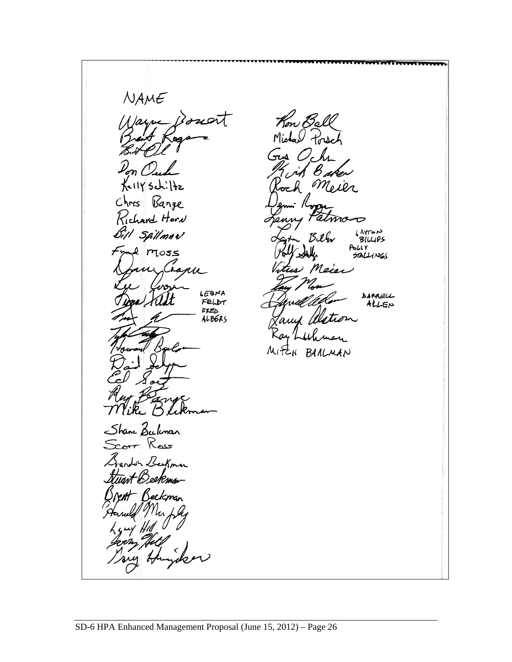$NAME$ Kon Ball Iarne  $\mathcal{B}$ d Michael Forsch لمت KellY Schi Chris Bange Richard Harn Bill Spilmar AYTON<br>BILLIPS Bilm bhly e moss  $\bigstar$ **STALLINGS** Meier hap LEGNA DAPRELL FELDT ALLEN  $FELD$ ALBERS  $MfE_{H}$ BARLMAN Shane Beckmar Rass eeKmn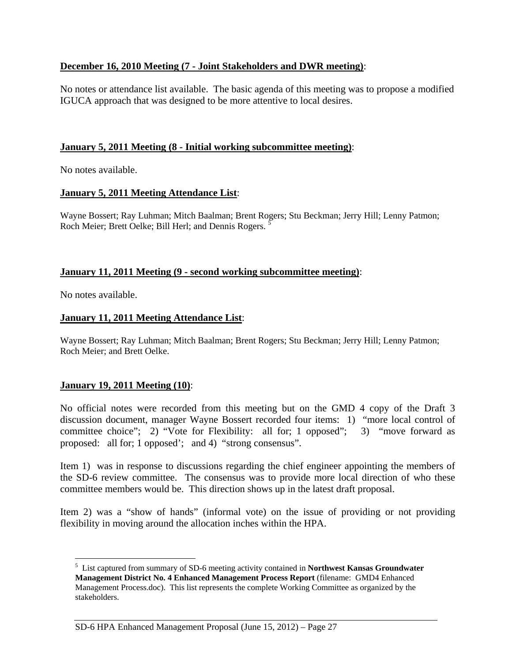### **December 16, 2010 Meeting (7 - Joint Stakeholders and DWR meeting)**:

No notes or attendance list available. The basic agenda of this meeting was to propose a modified IGUCA approach that was designed to be more attentive to local desires.

### **January 5, 2011 Meeting (8 - Initial working subcommittee meeting)**:

No notes available.

#### **January 5, 2011 Meeting Attendance List**:

Wayne Bossert; Ray Luhman; Mitch Baalman; Brent Rogers; Stu Beckman; Jerry Hill; Lenny Patmon; Roch Meier; Brett Oelke; Bill Herl; and Dennis Rogers.

#### **January 11, 2011 Meeting (9 - second working subcommittee meeting)**:

No notes available.

 $\overline{a}$ 

#### **January 11, 2011 Meeting Attendance List**:

Wayne Bossert; Ray Luhman; Mitch Baalman; Brent Rogers; Stu Beckman; Jerry Hill; Lenny Patmon; Roch Meier; and Brett Oelke.

#### **January 19, 2011 Meeting (10)**:

No official notes were recorded from this meeting but on the GMD 4 copy of the Draft 3 discussion document, manager Wayne Bossert recorded four items: 1) "more local control of committee choice"; 2) "Vote for Flexibility: all for; 1 opposed"; 3) "move forward as proposed: all for; 1 opposed'; and 4) "strong consensus".

Item 1) was in response to discussions regarding the chief engineer appointing the members of the SD-6 review committee. The consensus was to provide more local direction of who these committee members would be. This direction shows up in the latest draft proposal.

Item 2) was a "show of hands" (informal vote) on the issue of providing or not providing flexibility in moving around the allocation inches within the HPA.

<sup>5</sup> List captured from summary of SD-6 meeting activity contained in **Northwest Kansas Groundwater Management District No. 4 Enhanced Management Process Report** (filename: GMD4 Enhanced Management Process.doc). This list represents the complete Working Committee as organized by the stakeholders.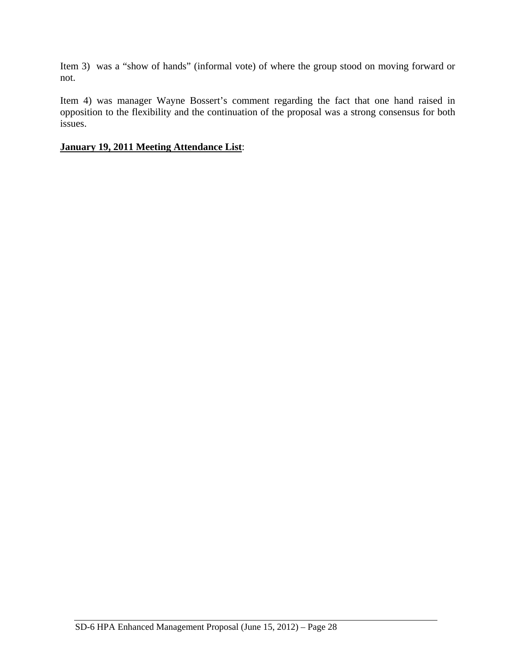Item 3) was a "show of hands" (informal vote) of where the group stood on moving forward or not.

Item 4) was manager Wayne Bossert's comment regarding the fact that one hand raised in opposition to the flexibility and the continuation of the proposal was a strong consensus for both issues.

#### **January 19, 2011 Meeting Attendance List**: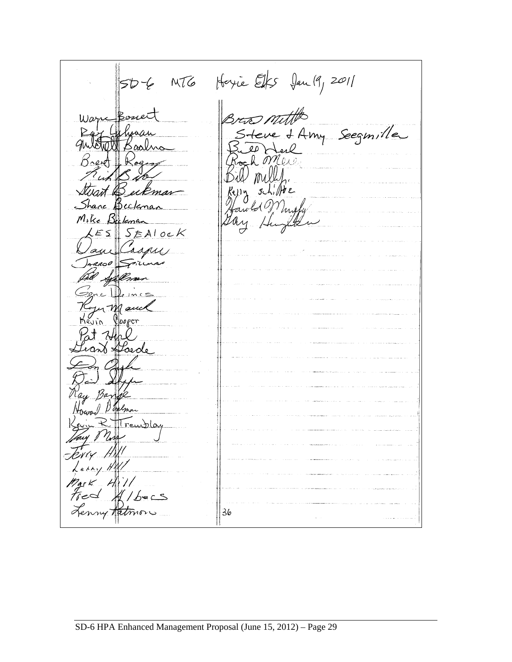SDE MTG Hoyie Elfs Jan 19, 2011 There of Amy Seegmille  $^{\prime}$  mall art Beckman  $g(h)$  /  $h$  e re Beckma Mike Bulena  $S_{EAlocK}$  $E \subseteq$  $30<sup>o</sup>$ Syllen um mauca Jooper Saede, Houm! Day TTreubloy  $\kappa_1$  H Mark Hill<br>Fred Albers<br>Lenny Ratmon 36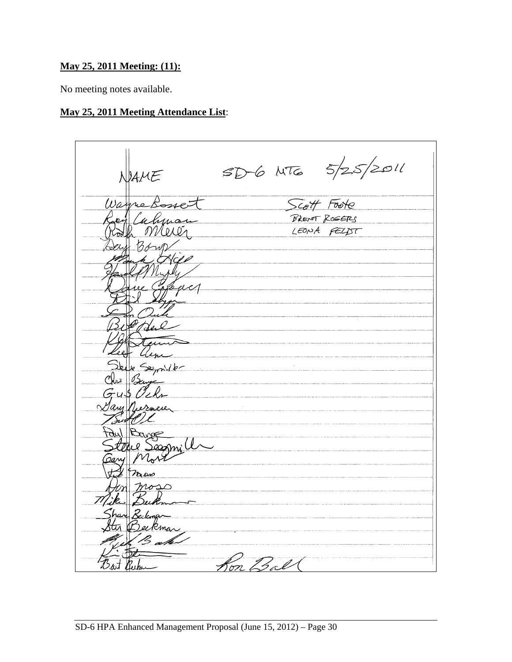# **May 25, 2011 Meeting: (11):**

No meeting notes available.

# **May 25, 2011 Meeting Attendance List**:

 $SD6MT6$   $5/25/2011$ Scott Foote Wa BRENT ROGERS Merez LEONA FELDT Semiller Sance Sagnill mos <sup>2</sup>ee kman Kon Ball Bat Berty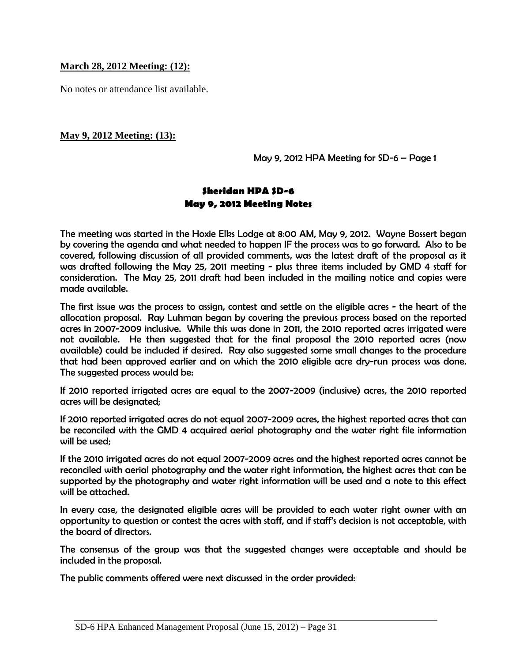#### **March 28, 2012 Meeting: (12):**

No notes or attendance list available.

#### **May 9, 2012 Meeting: (13):**

May 9, 2012 HPA Meeting for SD-6 – Page 1

### **Sheridan HPA SD-6 May 9, 2012 Meeting Notes**

The meeting was started in the Hoxie Elks Lodge at 8:00 AM, May 9, 2012. Wayne Bossert began by covering the agenda and what needed to happen IF the process was to go forward. Also to be covered, following discussion of all provided comments, was the latest draft of the proposal as it was drafted following the May 25, 2011 meeting - plus three items included by GMD 4 staff for consideration. The May 25, 2011 draft had been included in the mailing notice and copies were made available.

The first issue was the process to assign, contest and settle on the eligible acres - the heart of the allocation proposal. Ray Luhman began by covering the previous process based on the reported acres in 2007-2009 inclusive. While this was done in 2011, the 2010 reported acres irrigated were not available. He then suggested that for the final proposal the 2010 reported acres (now available) could be included if desired. Ray also suggested some small changes to the procedure that had been approved earlier and on which the 2010 eligible acre dry-run process was done. The suggested process would be:

If 2010 reported irrigated acres are equal to the 2007-2009 (inclusive) acres, the 2010 reported acres will be designated;

If 2010 reported irrigated acres do not equal 2007-2009 acres, the highest reported acres that can be reconciled with the GMD 4 acquired aerial photography and the water right file information will be used;

If the 2010 irrigated acres do not equal 2007-2009 acres and the highest reported acres cannot be reconciled with aerial photography and the water right information, the highest acres that can be supported by the photography and water right information will be used and a note to this effect will be attached.

In every case, the designated eligible acres will be provided to each water right owner with an opportunity to question or contest the acres with staff, and if staff's decision is not acceptable, with the board of directors.

The consensus of the group was that the suggested changes were acceptable and should be included in the proposal.

The public comments offered were next discussed in the order provided: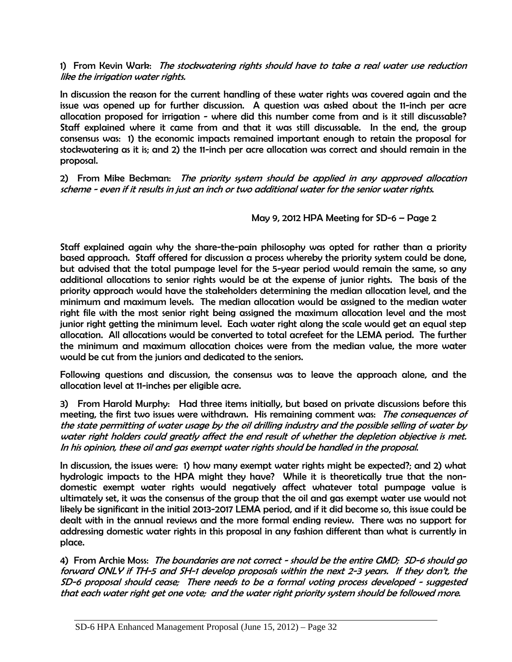#### 1) From Kevin Wark: *The stockwatering rights should have to take a real water use reduction* like the irrigation water rights.

In discussion the reason for the current handling of these water rights was covered again and the issue was opened up for further discussion. A question was asked about the 11-inch per acre allocation proposed for irrigation - where did this number come from and is it still discussable? Staff explained where it came from and that it was still discussable. In the end, the group consensus was: 1) the economic impacts remained important enough to retain the proposal for stockwatering as it is; and 2) the 11-inch per acre allocation was correct and should remain in the proposal.

2) From Mike Beckman: The priority system should be applied in any approved allocation scheme - even if it results in just an inch or two additional water for the senior water rights.

May 9, 2012 HPA Meeting for SD-6 – Page 2

Staff explained again why the share-the-pain philosophy was opted for rather than a priority based approach. Staff offered for discussion a process whereby the priority system could be done, but advised that the total pumpage level for the 5-year period would remain the same, so any additional allocations to senior rights would be at the expense of junior rights. The basis of the priority approach would have the stakeholders determining the median allocation level, and the minimum and maximum levels. The median allocation would be assigned to the median water right file with the most senior right being assigned the maximum allocation level and the most junior right getting the minimum level. Each water right along the scale would get an equal step allocation. All allocations would be converted to total acrefeet for the LEMA period. The further the minimum and maximum allocation choices were from the median value, the more water would be cut from the juniors and dedicated to the seniors.

Following questions and discussion, the consensus was to leave the approach alone, and the allocation level at 11-inches per eligible acre.

3) From Harold Murphy: Had three items initially, but based on private discussions before this meeting, the first two issues were withdrawn. His remaining comment was: The consequences of the state permitting of water usage by the oil drilling industry and the possible selling of water by water right holders could greatly affect the end result of whether the depletion objective is met. In his opinion, these oil and gas exempt water rights should be handled in the proposal.

In discussion, the issues were: 1) how many exempt water rights might be expected?; and 2) what hydrologic impacts to the HPA might they have? While it is theoretically true that the nondomestic exempt water rights would negatively affect whatever total pumpage value is ultimately set, it was the consensus of the group that the oil and gas exempt water use would not likely be significant in the initial 2013-2017 LEMA period, and if it did become so, this issue could be dealt with in the annual reviews and the more formal ending review. There was no support for addressing domestic water rights in this proposal in any fashion different than what is currently in place.

4) From Archie Moss: The boundaries are not correct - should be the entire GMD; SD-6 should go forward ONLY if TH-5 and SH-1 develop proposals within the next 2-3 years. If they don't, the SD-6 proposal should cease; There needs to be a formal voting process developed - suggested that each water right get one vote; and the water right priority system should be followed more.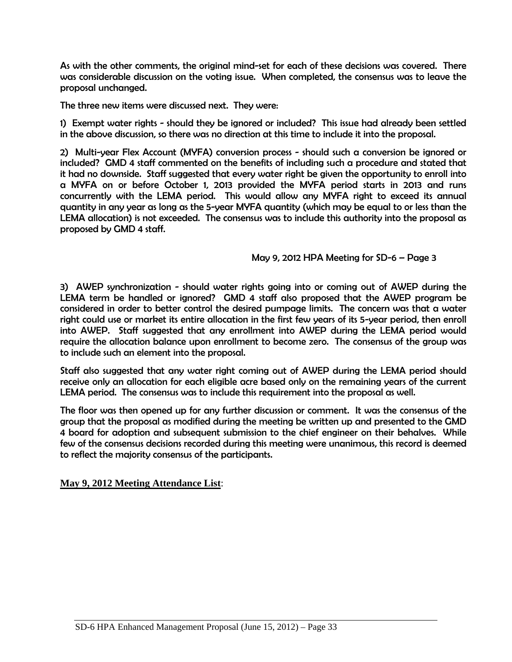As with the other comments, the original mind-set for each of these decisions was covered. There was considerable discussion on the voting issue. When completed, the consensus was to leave the proposal unchanged.

The three new items were discussed next. They were:

1) Exempt water rights - should they be ignored or included? This issue had already been settled in the above discussion, so there was no direction at this time to include it into the proposal.

2) Multi-year Flex Account (MYFA) conversion process - should such a conversion be ignored or included? GMD 4 staff commented on the benefits of including such a procedure and stated that it had no downside. Staff suggested that every water right be given the opportunity to enroll into a MYFA on or before October 1, 2013 provided the MYFA period starts in 2013 and runs concurrently with the LEMA period. This would allow any MYFA right to exceed its annual quantity in any year as long as the 5-year MYFA quantity (which may be equal to or less than the LEMA allocation) is not exceeded. The consensus was to include this authority into the proposal as proposed by GMD 4 staff.

May 9, 2012 HPA Meeting for SD-6 – Page 3

3) AWEP synchronization - should water rights going into or coming out of AWEP during the LEMA term be handled or ignored? GMD 4 staff also proposed that the AWEP program be considered in order to better control the desired pumpage limits. The concern was that a water right could use or market its entire allocation in the first few years of its 5-year period, then enroll into AWEP. Staff suggested that any enrollment into AWEP during the LEMA period would require the allocation balance upon enrollment to become zero. The consensus of the group was to include such an element into the proposal.

Staff also suggested that any water right coming out of AWEP during the LEMA period should receive only an allocation for each eligible acre based only on the remaining years of the current LEMA period. The consensus was to include this requirement into the proposal as well.

The floor was then opened up for any further discussion or comment. It was the consensus of the group that the proposal as modified during the meeting be written up and presented to the GMD 4 board for adoption and subsequent submission to the chief engineer on their behalves. While few of the consensus decisions recorded during this meeting were unanimous, this record is deemed to reflect the majority consensus of the participants.

**May 9, 2012 Meeting Attendance List**: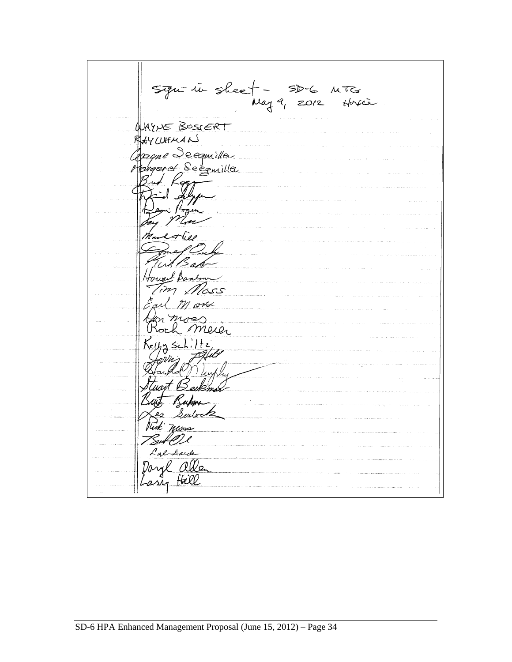Sign-in sheet - SD-6 MTG<br>May 9, 2012 Hoxie<br>MyNE BOSIERT CUHMANS UHMAN<br>qme Seegmiller<br>garet Seegmiller )<br>(1 Howard Bandon Mott as<br>Meier  $35ch.$ uart Bei ו פי<br>טנגרי בש Rick nuos Lal Aude Daryl allen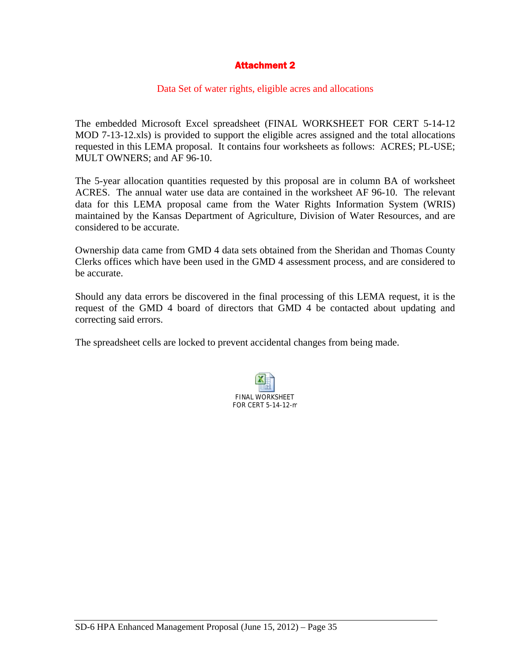## Attachment 2

#### Data Set of water rights, eligible acres and allocations

The embedded Microsoft Excel spreadsheet (FINAL WORKSHEET FOR CERT 5-14-12 MOD 7-13-12.xls) is provided to support the eligible acres assigned and the total allocations requested in this LEMA proposal. It contains four worksheets as follows: ACRES; PL-USE; MULT OWNERS; and AF 96-10.

The 5-year allocation quantities requested by this proposal are in column BA of worksheet ACRES. The annual water use data are contained in the worksheet AF 96-10. The relevant data for this LEMA proposal came from the Water Rights Information System (WRIS) maintained by the Kansas Department of Agriculture, Division of Water Resources, and are considered to be accurate.

Ownership data came from GMD 4 data sets obtained from the Sheridan and Thomas County Clerks offices which have been used in the GMD 4 assessment process, and are considered to be accurate.

Should any data errors be discovered in the final processing of this LEMA request, it is the request of the GMD 4 board of directors that GMD 4 be contacted about updating and correcting said errors.

The spreadsheet cells are locked to prevent accidental changes from being made.

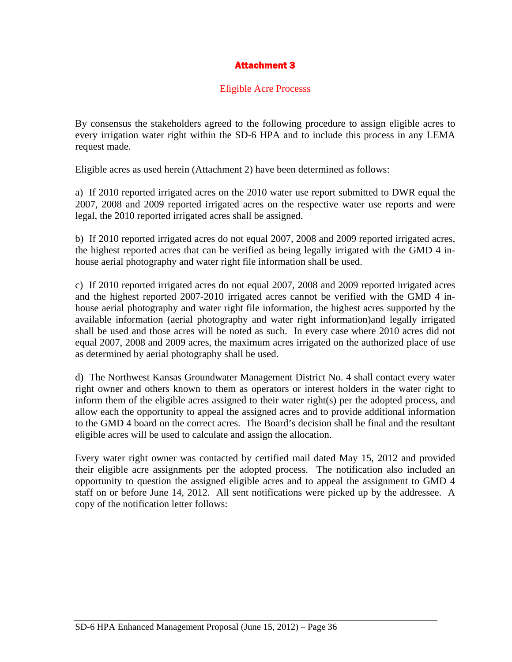# Attachment 3

### Eligible Acre Processs

By consensus the stakeholders agreed to the following procedure to assign eligible acres to every irrigation water right within the SD-6 HPA and to include this process in any LEMA request made.

Eligible acres as used herein (Attachment 2) have been determined as follows:

a) If 2010 reported irrigated acres on the 2010 water use report submitted to DWR equal the 2007, 2008 and 2009 reported irrigated acres on the respective water use reports and were legal, the 2010 reported irrigated acres shall be assigned.

b) If 2010 reported irrigated acres do not equal 2007, 2008 and 2009 reported irrigated acres, the highest reported acres that can be verified as being legally irrigated with the GMD 4 inhouse aerial photography and water right file information shall be used.

c) If 2010 reported irrigated acres do not equal 2007, 2008 and 2009 reported irrigated acres and the highest reported 2007-2010 irrigated acres cannot be verified with the GMD 4 inhouse aerial photography and water right file information, the highest acres supported by the available information (aerial photography and water right information)and legally irrigated shall be used and those acres will be noted as such. In every case where 2010 acres did not equal 2007, 2008 and 2009 acres, the maximum acres irrigated on the authorized place of use as determined by aerial photography shall be used.

d) The Northwest Kansas Groundwater Management District No. 4 shall contact every water right owner and others known to them as operators or interest holders in the water right to inform them of the eligible acres assigned to their water right(s) per the adopted process, and allow each the opportunity to appeal the assigned acres and to provide additional information to the GMD 4 board on the correct acres. The Board's decision shall be final and the resultant eligible acres will be used to calculate and assign the allocation.

Every water right owner was contacted by certified mail dated May 15, 2012 and provided their eligible acre assignments per the adopted process. The notification also included an opportunity to question the assigned eligible acres and to appeal the assignment to GMD 4 staff on or before June 14, 2012. All sent notifications were picked up by the addressee. A copy of the notification letter follows: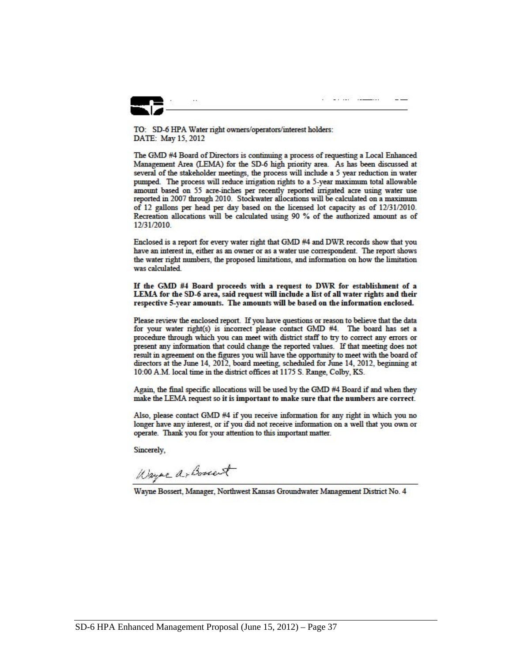

y ing k<u>abupat</u>

TO: SD-6 HPA Water right owners/operators/interest holders: DATE: May 15, 2012

The GMD #4 Board of Directors is continuing a process of requesting a Local Enhanced Management Area (LEMA) for the SD-6 high priority area. As has been discussed at several of the stakeholder meetings, the process will include a 5 year reduction in water pumped. The process will reduce irrigation rights to a 5-year maximum total allowable amount based on 55 acre-inches per recently reported irrigated acre using water use reported in 2007 through 2010. Stockwater allocations will be calculated on a maximum of 12 gallons per head per day based on the licensed lot capacity as of 12/31/2010. Recreation allocations will be calculated using 90 % of the authorized amount as of 12/31/2010.

Enclosed is a report for every water right that GMD #4 and DWR records show that you have an interest in, either as an owner or as a water use correspondent. The report shows the water right numbers, the proposed limitations, and information on how the limitation was calculated.

If the GMD #4 Board proceeds with a request to DWR for establishment of a LEMA for the SD-6 area, said request will include a list of all water rights and their respective 5-year amounts. The amounts will be based on the information enclosed.

Please review the enclosed report. If you have questions or reason to believe that the data for your water right(s) is incorrect please contact GMD #4. The board has set a procedure through which you can meet with district staff to try to correct any errors or present any information that could change the reported values. If that meeting does not result in agreement on the figures you will have the opportunity to meet with the board of directors at the June 14, 2012, board meeting, scheduled for June 14, 2012, beginning at 10:00 A.M. local time in the district offices at 1175 S. Range, Colby, KS.

Again, the final specific allocations will be used by the GMD #4 Board if and when they make the LEMA request so it is important to make sure that the numbers are correct.

Also, please contact GMD #4 if you receive information for any right in which you no longer have any interest, or if you did not receive information on a well that you own or operate. Thank you for your attention to this important matter.

Sincerely.

Wayne a-Bonat

Wayne Bossert, Manager, Northwest Kansas Groundwater Management District No. 4